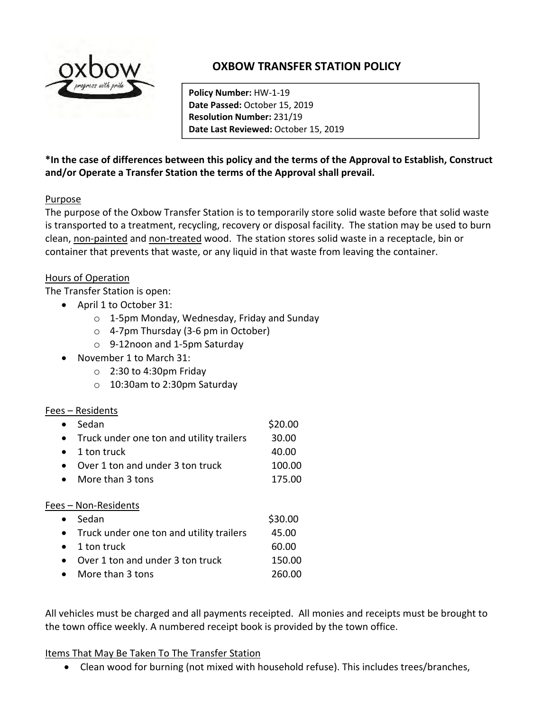

# OXBOW TRANSFER STATION POLICY

Policy Number: HW-1-19 Date Passed: October 15, 2019 Resolution Number: 231/19 Date Last Reviewed: October 15, 2019

\*In the case of differences between this policy and the terms of the Approval to Establish, Construct and/or Operate a Transfer Station the terms of the Approval shall prevail.

#### Purpose

The purpose of the Oxbow Transfer Station is to temporarily store solid waste before that solid waste is transported to a treatment, recycling, recovery or disposal facility. The station may be used to burn clean, non-painted and non-treated wood. The station stores solid waste in a receptacle, bin or container that prevents that waste, or any liquid in that waste from leaving the container.

#### Hours of Operation

The Transfer Station is open:

- April 1 to October 31:
	- o 1-5pm Monday, Wednesday, Friday and Sunday
	- o 4-7pm Thursday (3-6 pm in October)
	- o 9-12noon and 1-5pm Saturday
- November 1 to March 31:
	- o 2:30 to 4:30pm Friday
	- o 10:30am to 2:30pm Saturday

#### Fees – Residents

| Sedan                                         | \$20.00 |  |  |  |  |  |
|-----------------------------------------------|---------|--|--|--|--|--|
| • Truck under one ton and utility trailers    | 30.00   |  |  |  |  |  |
| 1 ton truck<br>$\bullet$                      | 40.00   |  |  |  |  |  |
| Over 1 ton and under 3 ton truck<br>$\bullet$ | 100.00  |  |  |  |  |  |
| More than 3 tons<br>$\bullet$                 | 175.00  |  |  |  |  |  |
| Fees - Non-Residents                          |         |  |  |  |  |  |
| Sedan                                         |         |  |  |  |  |  |

|           | <b>JUUUIL</b>                              | JJU.UU |
|-----------|--------------------------------------------|--------|
|           | • Truck under one ton and utility trailers | 45.00  |
|           | $\bullet$ 1 ton truck                      | 60.00  |
| $\bullet$ | Over 1 ton and under 3 ton truck           | 150.00 |
|           |                                            |        |

More than 3 tons 260.00

All vehicles must be charged and all payments receipted. All monies and receipts must be brought to the town office weekly. A numbered receipt book is provided by the town office.

#### Items That May Be Taken To The Transfer Station

Clean wood for burning (not mixed with household refuse). This includes trees/branches,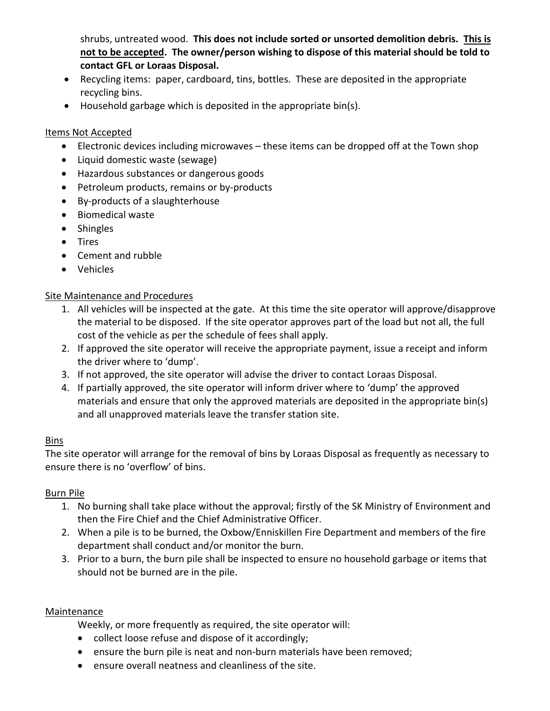shrubs, untreated wood. This does not include sorted or unsorted demolition debris. This is not to be accepted. The owner/person wishing to dispose of this material should be told to contact GFL or Loraas Disposal.

- Recycling items: paper, cardboard, tins, bottles. These are deposited in the appropriate recycling bins.
- Household garbage which is deposited in the appropriate bin(s).

## Items Not Accepted

- Electronic devices including microwaves these items can be dropped off at the Town shop
- Liquid domestic waste (sewage)
- Hazardous substances or dangerous goods
- Petroleum products, remains or by-products
- By-products of a slaughterhouse
- Biomedical waste
- Shingles
- Tires
- Cement and rubble
- Vehicles

# Site Maintenance and Procedures

- 1. All vehicles will be inspected at the gate. At this time the site operator will approve/disapprove the material to be disposed. If the site operator approves part of the load but not all, the full cost of the vehicle as per the schedule of fees shall apply.
- 2. If approved the site operator will receive the appropriate payment, issue a receipt and inform the driver where to 'dump'.
- 3. If not approved, the site operator will advise the driver to contact Loraas Disposal.
- 4. If partially approved, the site operator will inform driver where to 'dump' the approved materials and ensure that only the approved materials are deposited in the appropriate bin(s) and all unapproved materials leave the transfer station site.

#### Bins

The site operator will arrange for the removal of bins by Loraas Disposal as frequently as necessary to ensure there is no 'overflow' of bins.

#### Burn Pile

- 1. No burning shall take place without the approval; firstly of the SK Ministry of Environment and then the Fire Chief and the Chief Administrative Officer.
- 2. When a pile is to be burned, the Oxbow/Enniskillen Fire Department and members of the fire department shall conduct and/or monitor the burn.
- 3. Prior to a burn, the burn pile shall be inspected to ensure no household garbage or items that should not be burned are in the pile.

#### Maintenance

Weekly, or more frequently as required, the site operator will:

- collect loose refuse and dispose of it accordingly;
- ensure the burn pile is neat and non-burn materials have been removed;
- ensure overall neatness and cleanliness of the site.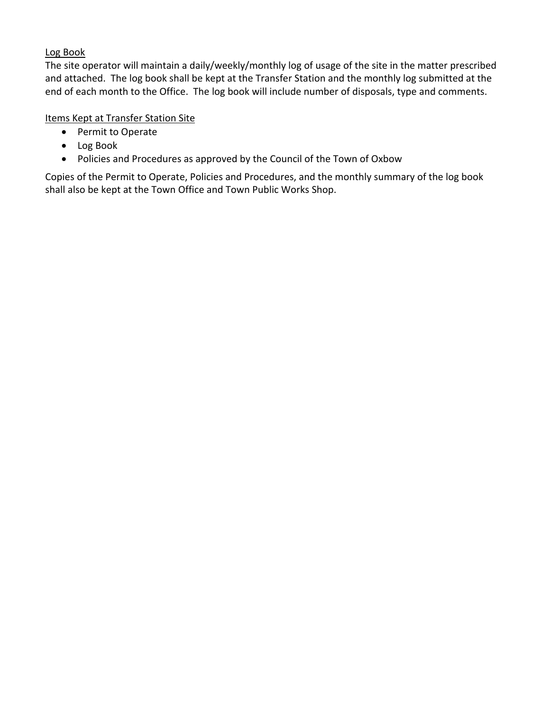#### Log Book

The site operator will maintain a daily/weekly/monthly log of usage of the site in the matter prescribed and attached. The log book shall be kept at the Transfer Station and the monthly log submitted at the end of each month to the Office. The log book will include number of disposals, type and comments.

### Items Kept at Transfer Station Site

- Permit to Operate
- Log Book
- Policies and Procedures as approved by the Council of the Town of Oxbow

Copies of the Permit to Operate, Policies and Procedures, and the monthly summary of the log book shall also be kept at the Town Office and Town Public Works Shop.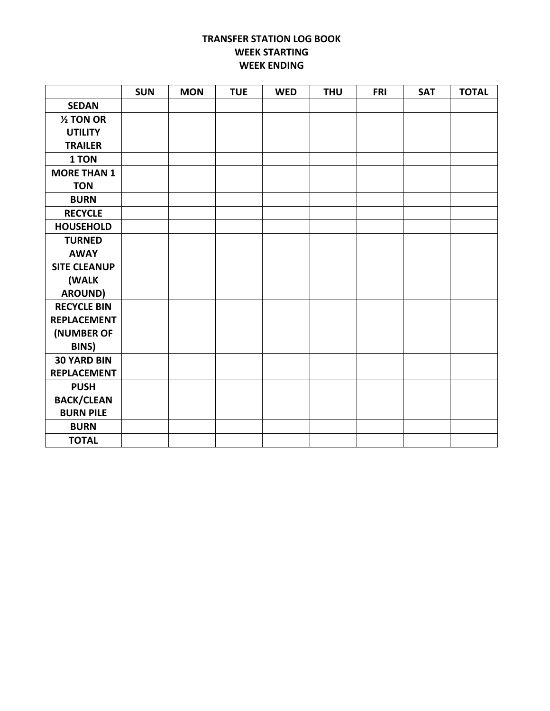#### TRANSFER STATION LOG BOOK WEEK STARTING WEEK ENDING

|                     | <b>SUN</b> | <b>MON</b> | <b>TUE</b> | <b>WED</b> | <b>THU</b> | <b>FRI</b> | <b>SAT</b> | <b>TOTAL</b> |
|---------------------|------------|------------|------------|------------|------------|------------|------------|--------------|
| <b>SEDAN</b>        |            |            |            |            |            |            |            |              |
| $2$ TON OR          |            |            |            |            |            |            |            |              |
| <b>UTILITY</b>      |            |            |            |            |            |            |            |              |
| <b>TRAILER</b>      |            |            |            |            |            |            |            |              |
| 1 TON               |            |            |            |            |            |            |            |              |
| <b>MORE THAN 1</b>  |            |            |            |            |            |            |            |              |
| <b>TON</b>          |            |            |            |            |            |            |            |              |
| <b>BURN</b>         |            |            |            |            |            |            |            |              |
| <b>RECYCLE</b>      |            |            |            |            |            |            |            |              |
| <b>HOUSEHOLD</b>    |            |            |            |            |            |            |            |              |
| <b>TURNED</b>       |            |            |            |            |            |            |            |              |
| <b>AWAY</b>         |            |            |            |            |            |            |            |              |
| <b>SITE CLEANUP</b> |            |            |            |            |            |            |            |              |
| (WALK               |            |            |            |            |            |            |            |              |
| <b>AROUND)</b>      |            |            |            |            |            |            |            |              |
| <b>RECYCLE BIN</b>  |            |            |            |            |            |            |            |              |
| <b>REPLACEMENT</b>  |            |            |            |            |            |            |            |              |
| (NUMBER OF          |            |            |            |            |            |            |            |              |
| <b>BINS</b> )       |            |            |            |            |            |            |            |              |
| <b>30 YARD BIN</b>  |            |            |            |            |            |            |            |              |
| <b>REPLACEMENT</b>  |            |            |            |            |            |            |            |              |
| <b>PUSH</b>         |            |            |            |            |            |            |            |              |
| <b>BACK/CLEAN</b>   |            |            |            |            |            |            |            |              |
| <b>BURN PILE</b>    |            |            |            |            |            |            |            |              |
| <b>BURN</b>         |            |            |            |            |            |            |            |              |
| <b>TOTAL</b>        |            |            |            |            |            |            |            |              |